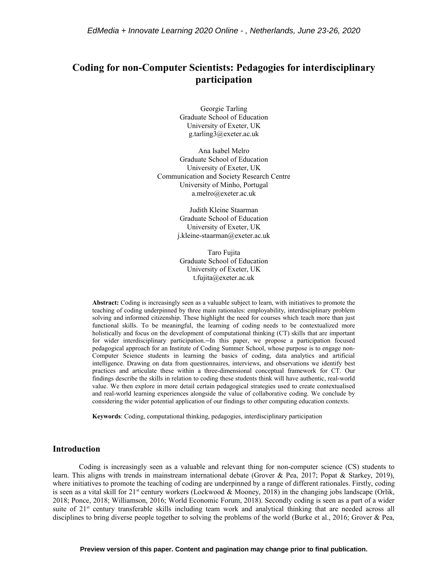# **Coding for non-Computer Scientists: Pedagogies for interdisciplinary participation**

Georgie Tarling Graduate School of Education University of Exeter, UK g.tarling3@exeter.ac.uk

Ana Isabel Melro Graduate School of Education University of Exeter, UK Communication and Society Research Centre University of Minho, Portugal a.melro@exeter.ac.uk

> Judith Kleine Staarman Graduate School of Education University of Exeter, UK j.kleine-staarman@exeter.ac.uk

Taro Fujita Graduate School of Education University of Exeter, UK t.fujita@exeter.ac.uk

**Abstract:** Coding is increasingly seen as a valuable subject to learn, with initiatives to promote the teaching of coding underpinned by three main rationales: employability, interdisciplinary problem solving and informed citizenship. These highlight the need for courses which teach more than just functional skills. To be meaningful, the learning of coding needs to be contextualized more holistically and focus on the development of computational thinking (CT) skills that are important for wider interdisciplinary participation. In this paper, we propose a participation focused pedagogical approach for an Institute of Coding Summer School, whose purpose is to engage non-Computer Science students in learning the basics of coding, data analytics and artificial intelligence. Drawing on data from questionnaires, interviews, and observations we identify best practices and articulate these within a three-dimensional conceptual framework for CT. Our findings describe the skills in relation to coding these students think will have authentic, real-world value. We then explore in more detail certain pedagogical strategies used to create contextualised and real-world learning experiences alongside the value of collaborative coding. We conclude by considering the wider potential application of our findings to other computing education contexts.

**Keywords**: Coding, computational thinking, pedagogies, interdisciplinary participation

## **Introduction**

Coding is increasingly seen as a valuable and relevant thing for non-computer science (CS) students to learn. This aligns with trends in mainstream international debate (Grover & Pea, 2017; Popat & Starkey, 2019), where initiatives to promote the teaching of coding are underpinned by a range of different rationales. Firstly, coding is seen as a vital skill for  $21<sup>st</sup>$  century workers (Lockwood & Mooney, 2018) in the changing jobs landscape (Orlik, 2018; Ponce, 2018; Williamson, 2016; World Economic Forum, 2018). Secondly coding is seen as a part of a wider suite of 21<sup>st</sup> century transferable skills including team work and analytical thinking that are needed across all disciplines to bring diverse people together to solving the problems of the world (Burke et al., 2016; Grover & Pea,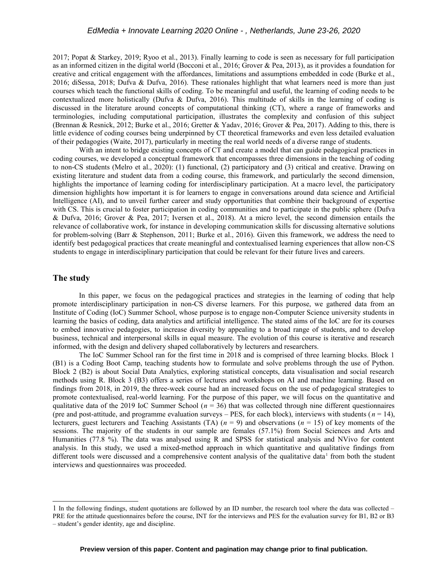2017; Popat & Starkey, 2019; Ryoo et al., 2013). Finally learning to code is seen as necessary for full participation as an informed citizen in the digital world (Bocconi et al., 2016; Grover & Pea, 2013), as it provides a foundation for creative and critical engagement with the affordances, limitations and assumptions embedded in code (Burke et al., 2016; diSessa, 2018; Dufva & Dufva, 2016). These rationales highlight that what learners need is more than just courses which teach the functional skills of coding. To be meaningful and useful, the learning of coding needs to be contextualized more holistically (Dufva & Dufva, 2016). This multitude of skills in the learning of coding is discussed in the literature around concepts of computational thinking (CT), where a range of frameworks and terminologies, including computational participation, illustrates the complexity and confusion of this subject (Brennan & Resnick, 2012; Burke et al., 2016; Gretter & Yadav, 2016; Grover & Pea, 2017). Adding to this, there is little evidence of coding courses being underpinned by CT theoretical frameworks and even less detailed evaluation of their pedagogies (Waite, 2017), particularly in meeting the real world needs of a diverse range of students.

With an intent to bridge existing concepts of CT and create a model that can guide pedagogical practices in coding courses, we developed a conceptual framework that encompasses three dimensions in the teaching of coding to non-CS students (Melro et al., 2020): (1) functional, (2) participatory and (3) critical and creative. Drawing on existing literature and student data from a coding course, this framework, and particularly the second dimension, highlights the importance of learning coding for interdisciplinary participation. At a macro level, the participatory dimension highlights how important it is for learners to engage in conversations around data science and Artificial Intelligence (AI), and to unveil further career and study opportunities that combine their background of expertise with CS. This is crucial to foster participation in coding communities and to participate in the public sphere (Dufva & Dufva, 2016; Grover & Pea, 2017; Iversen et al., 2018). At a micro level, the second dimension entails the relevance of collaborative work, for instance in developing communication skills for discussing alternative solutions for problem-solving (Barr & Stephenson, 2011; Burke et al., 2016). Given this framework, we address the need to identify best pedagogical practices that create meaningful and contextualised learning experiences that allow non-CS students to engage in interdisciplinary participation that could be relevant for their future lives and careers.

## **The study**

In this paper, we focus on the pedagogical practices and strategies in the learning of coding that help promote interdisciplinary participation in non-CS diverse learners. For this purpose, we gathered data from an Institute of Coding (IoC) Summer School, whose purpose is to engage non-Computer Science university students in learning the basics of coding, data analytics and artificial intelligence. The stated aims of the IoC are for its courses to embed innovative pedagogies, to increase diversity by appealing to a broad range of students, and to develop business, technical and interpersonal skills in equal measure. The evolution of this course is iterative and research informed, with the design and delivery shaped collaboratively by lecturers and researchers.

The IoC Summer School ran for the first time in 2018 and is comprised of three learning blocks. Block 1 (B1) is a Coding Boot Camp, teaching students how to formulate and solve problems through the use of Python. Block 2 (B2) is about Social Data Analytics, exploring statistical concepts, data visualisation and social research methods using R. Block 3 (B3) offers a series of lectures and workshops on AI and machine learning. Based on findings from 2018, in 2019, the three-week course had an increased focus on the use of pedagogical strategies to promote contextualised, real-world learning. For the purpose of this paper, we will focus on the quantitative and qualitative data of the 2019 IoC Summer School ( $n = 36$ ) that was collected through nine different questionnaires (pre and post-attitude, and programme evaluation surveys – PES, for each block), interviews with students ( $n = 14$ ), lecturers, guest lecturers and Teaching Assistants (TA) (*n* = 9) and observations (*n* = 15) of key moments of the sessions. The majority of the students in our sample are females (57.1%) from Social Sciences and Arts and Humanities (77.8 %). The data was analysed using R and SPSS for statistical analysis and NVivo for content analysis. In this study, we used a mixed-method approach in which quantitative and qualitative findings from different tools were discussed and a comprehensive content analysis of the qualitative data<sup>[1](#page-1-0)</sup> from both the student interviews and questionnaires was proceeded.

<span id="page-1-0"></span><sup>1</sup> In the following findings, student quotations are followed by an ID number, the research tool where the data was collected – PRE for the attitude questionnaires before the course, INT for the interviews and PES for the evaluation survey for B1, B2 or B3 – student's gender identity, age and discipline.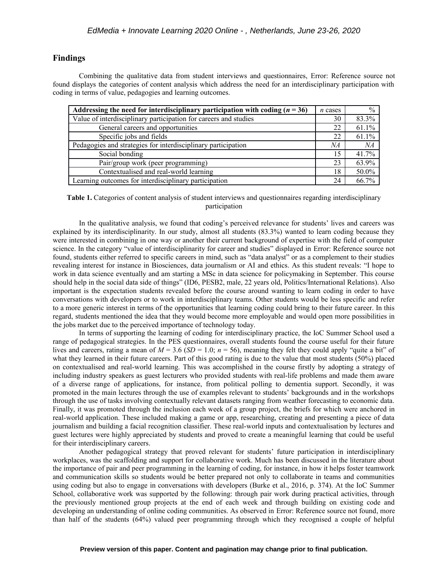#### **Findings**

<span id="page-2-0"></span>Combining the qualitative data from student interviews and questionnaires, [Error: Reference source not](#page-2-0) [found](#page-2-0) displays the categories of content analysis which address the need for an interdisciplinary participation with coding in terms of value, pedagogies and learning outcomes.

| Addressing the need for interdisciplinary participation with coding $(n = 36)$ | $n$ cases | $\frac{0}{0}$ |
|--------------------------------------------------------------------------------|-----------|---------------|
| Value of interdisciplinary participation for careers and studies               | 30        | 83.3%         |
| General careers and opportunities                                              | 22        | 61.1%         |
| Specific jobs and fields                                                       | 22        | 61.1%         |
| Pedagogies and strategies for interdisciplinary participation                  | NA        | NA            |
| Social bonding                                                                 | 15        | 41.7%         |
| Pair/group work (peer programming)                                             | 23        | 63.9%         |
| Contextualised and real-world learning                                         | 18        | 50.0%         |
| Learning outcomes for interdisciplinary participation                          | 24        | 66.7%         |

**Table 1.** Categories of content analysis of student interviews and questionnaires regarding interdisciplinary participation

<span id="page-2-2"></span>In the qualitative analysis, we found that coding's perceived relevance for students' lives and careers was explained by its interdisciplinarity. In our study, almost all students (83.3%) wanted to learn coding because they were interested in combining in one way or another their current background of expertise with the field of computer science. In the category "value of interdisciplinarity for career and studies" displayed in [Error: Reference source not](#page-2-2) [found,](#page-2-2) students either referred to specific careers in mind, such as "data analyst" or as a complement to their studies revealing interest for instance in Biosciences, data journalism or AI and ethics. As this student reveals: "I hope to work in data science eventually and am starting a MSc in data science for policymaking in September. This course should help in the social data side of things" (ID6, PESB2, male, 22 years old, Politics/International Relations). Also important is the expectation students revealed before the course around wanting to learn coding in order to have conversations with developers or to work in interdisciplinary teams. Other students would be less specific and refer to a more generic interest in terms of the opportunities that learning coding could bring to their future career. In this regard, students mentioned the idea that they would become more employable and would open more possibilities in the jobs market due to the perceived importance of technology today.

In terms of supporting the learning of coding for interdisciplinary practice, the IoC Summer School used a range of pedagogical strategies. In the PES questionnaires, overall students found the course useful for their future lives and careers, rating a mean of  $M = 3.6$  ( $SD = 1.0$ ;  $n = 56$ ), meaning they felt they could apply "quite a bit" of what they learned in their future careers. Part of this good rating is due to the value that most students (50%) placed on contextualised and real-world learning. This was accomplished in the course firstly by adopting a strategy of including industry speakers as guest lecturers who provided students with real-life problems and made them aware of a diverse range of applications, for instance, from political polling to dementia support. Secondly, it was promoted in the main lectures through the use of examples relevant to students' backgrounds and in the workshops through the use of tasks involving contextually relevant datasets ranging from weather forecasting to economic data. Finally, it was promoted through the inclusion each week of a group project, the briefs for which were anchored in real-world application. These included making a game or app, researching, creating and presenting a piece of data journalism and building a facial recognition classifier. These real-world inputs and contextualisation by lectures and guest lectures were highly appreciated by students and proved to create a meaningful learning that could be useful for their interdisciplinary careers.

<span id="page-2-1"></span>Another pedagogical strategy that proved relevant for students' future participation in interdisciplinary workplaces, was the scaffolding and support for collaborative work. Much has been discussed in the literature about the importance of pair and peer programming in the learning of coding, for instance, in how it helps foster teamwork and communication skills so students would be better prepared not only to collaborate in teams and communities using coding but also to engage in conversations with developers (Burke et al., 2016, p. 374). At the IoC Summer School, collaborative work was supported by the following: through pair work during practical activities, through the previously mentioned group projects at the end of each week and through building on existing code and developing an understanding of online coding communities. As observed in [Error: Reference source not found,](#page-2-1) more than half of the students (64%) valued peer programming through which they recognised a couple of helpful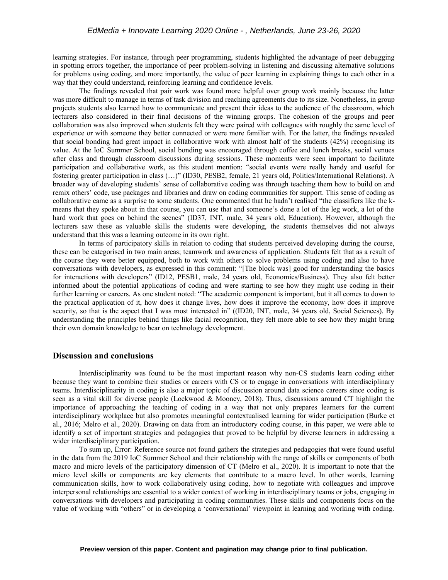learning strategies. For instance, through peer programming, students highlighted the advantage of peer debugging in spotting errors together, the importance of peer problem-solving in listening and discussing alternative solutions for problems using coding, and more importantly, the value of peer learning in explaining things to each other in a way that they could understand, reinforcing learning and confidence levels.

The findings revealed that pair work was found more helpful over group work mainly because the latter was more difficult to manage in terms of task division and reaching agreements due to its size. Nonetheless, in group projects students also learned how to communicate and present their ideas to the audience of the classroom, which lecturers also considered in their final decisions of the winning groups. The cohesion of the groups and peer collaboration was also improved when students felt they were paired with colleagues with roughly the same level of experience or with someone they better connected or were more familiar with. For the latter, the findings revealed that social bonding had great impact in collaborative work with almost half of the students (42%) recognising its value. At the IoC Summer School, social bonding was encouraged through coffee and lunch breaks, social venues after class and through classroom discussions during sessions. These moments were seen important to facilitate participation and collaborative work, as this student mention: "social events were really handy and useful for fostering greater participation in class (…)" (ID30, PESB2, female, 21 years old, Politics/International Relations). A broader way of developing students' sense of collaborative coding was through teaching them how to build on and remix others' code, use packages and libraries and draw on coding communities for support. This sense of coding as collaborative came as a surprise to some students. One commented that he hadn't realised "the classifiers like the kmeans that they spoke about in that course, you can use that and someone's done a lot of the leg work, a lot of the hard work that goes on behind the scenes" (ID37, INT, male, 34 years old, Education). However, although the lecturers saw these as valuable skills the students were developing, the students themselves did not always understand that this was a learning outcome in its own right.

In terms of participatory skills in relation to coding that students perceived developing during the course, these can be categorised in two main areas; teamwork and awareness of application. Students felt that as a result of the course they were better equipped, both to work with others to solve problems using coding and also to have conversations with developers, as expressed in this comment: "[The block was] good for understanding the basics for interactions with developers" (ID12, PESB1, male, 24 years old, Economics/Business). They also felt better informed about the potential applications of coding and were starting to see how they might use coding in their further learning or careers. As one student noted: "The academic component is important, but it all comes to down to the practical application of it, how does it change lives, how does it improve the economy, how does it improve security, so that is the aspect that I was most interested in" ((ID20, INT, male, 34 years old, Social Sciences). By understanding the principles behind things like facial recognition, they felt more able to see how they might bring their own domain knowledge to bear on technology development.

### **Discussion and conclusions**

Interdisciplinarity was found to be the most important reason why non-CS students learn coding either because they want to combine their studies or careers with CS or to engage in conversations with interdisciplinary teams. Interdisciplinarity in coding is also a major topic of discussion around data science careers since coding is seen as a vital skill for diverse people (Lockwood & Mooney, 2018). Thus, discussions around CT highlight the importance of approaching the teaching of coding in a way that not only prepares learners for the current interdisciplinary workplace but also promotes meaningful contextualised learning for wider participation (Burke et al., 2016; Melro et al., 2020). Drawing on data from an introductory coding course, in this paper, we were able to identify a set of important strategies and pedagogies that proved to be helpful by diverse learners in addressing a wider interdisciplinary participation.

<span id="page-3-0"></span>To sum up, [Error: Reference source not found](#page-3-0) gathers the strategies and pedagogies that were found useful in the data from the 2019 IoC Summer School and their relationship with the range of skills or components of both macro and micro levels of the participatory dimension of CT (Melro et al., 2020). It is important to note that the micro level skills or components are key elements that contribute to a macro level. In other words, learning communication skills, how to work collaboratively using coding, how to negotiate with colleagues and improve interpersonal relationships are essential to a wider context of working in interdisciplinary teams or jobs, engaging in conversations with developers and participating in coding communities. These skills and components focus on the value of working with "others" or in developing a 'conversational' viewpoint in learning and working with coding.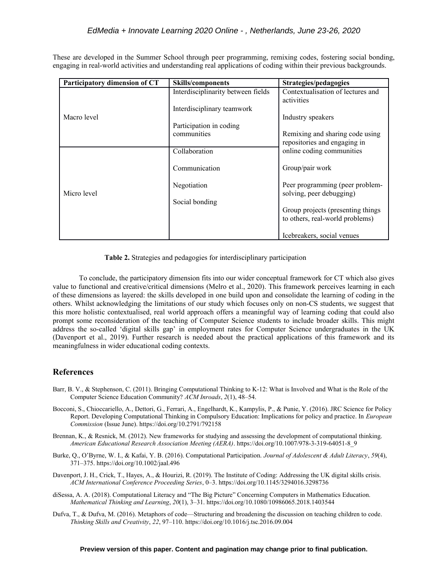These are developed in the Summer School through peer programming, remixing codes, fostering social bonding, engaging in real-world activities and understanding real applications of coding within their previous backgrounds.

| Participatory dimension of CT | Skills/components                  | Strategies/pedagogies                                           |
|-------------------------------|------------------------------------|-----------------------------------------------------------------|
|                               | Interdisciplinarity between fields | Contextualisation of lectures and<br>activities                 |
| Macro level                   | Interdisciplinary teamwork         |                                                                 |
|                               |                                    | Industry speakers                                               |
|                               | Participation in coding            |                                                                 |
|                               | communities                        | Remixing and sharing code using<br>repositories and engaging in |
|                               | Collaboration                      | online coding communities                                       |
| Micro level                   | Communication                      | Group/pair work                                                 |
|                               | Negotiation                        | Peer programming (peer problem-<br>solving, peer debugging)     |
|                               | Social bonding                     |                                                                 |
|                               |                                    | Group projects (presenting things)                              |
|                               |                                    | to others, real-world problems)                                 |
|                               |                                    | Icebreakers, social venues                                      |

**Table 2.** Strategies and pedagogies for interdisciplinary participation

To conclude, the participatory dimension fits into our wider conceptual framework for CT which also gives value to functional and creative/critical dimensions (Melro et al., 2020). This framework perceives learning in each of these dimensions as layered: the skills developed in one build upon and consolidate the learning of coding in the others. Whilst acknowledging the limitations of our study which focuses only on non-CS students, we suggest that this more holistic contextualised, real world approach offers a meaningful way of learning coding that could also prompt some reconsideration of the teaching of Computer Science students to include broader skills. This might address the so-called 'digital skills gap' in employment rates for Computer Science undergraduates in the UK (Davenport et al., 2019). Further research is needed about the practical applications of this framework and its meaningfulness in wider educational coding contexts.

## **References**

- Barr, B. V., & Stephenson, C. (2011). Bringing Computational Thinking to K-12: What is Involved and What is the Role of the Computer Science Education Community? *ACM Inroads*, *2*(1), 48–54.
- Bocconi, S., Chioccariello, A., Dettori, G., Ferrari, A., Engelhardt, K., Kampylis, P., & Punie, Y. (2016). JRC Science for Policy Report. Developing Computational Thinking in Compulsory Education: Implications for policy and practice. In *European Commission* (Issue June). https://doi.org/10.2791/792158
- Brennan, K., & Resnick, M. (2012). New frameworks for studying and assessing the development of computational thinking. *American Educational Research Association Meeting (AERA)*. https://doi.org/10.1007/978-3-319-64051-8\_9
- Burke, Q., O'Byrne, W. I., & Kafai, Y. B. (2016). Computational Participation. *Journal of Adolescent & Adult Literacy*, *59*(4), 371–375. https://doi.org/10.1002/jaal.496
- Davenport, J. H., Crick, T., Hayes, A., & Hourizi, R. (2019). The Institute of Coding: Addressing the UK digital skills crisis. *ACM International Conference Proceeding Series*, 0–3. https://doi.org/10.1145/3294016.3298736
- diSessa, A. A. (2018). Computational Literacy and "The Big Picture" Concerning Computers in Mathematics Education. *Mathematical Thinking and Learning*, *20*(1), 3–31. https://doi.org/10.1080/10986065.2018.1403544
- Dufva, T., & Dufva, M. (2016). Metaphors of code—Structuring and broadening the discussion on teaching children to code. *Thinking Skills and Creativity*, *22*, 97–110. https://doi.org/10.1016/j.tsc.2016.09.004